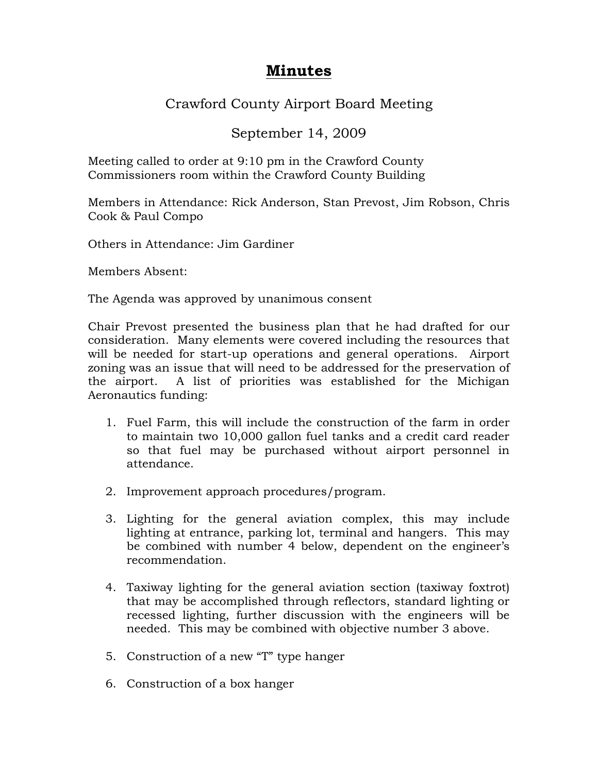## **Minutes**

## Crawford County Airport Board Meeting

## September 14, 2009

Meeting called to order at 9:10 pm in the Crawford County Commissioners room within the Crawford County Building

Members in Attendance: Rick Anderson, Stan Prevost, Jim Robson, Chris Cook & Paul Compo

Others in Attendance: Jim Gardiner

Members Absent:

The Agenda was approved by unanimous consent

Chair Prevost presented the business plan that he had drafted for our consideration. Many elements were covered including the resources that will be needed for start-up operations and general operations. Airport zoning was an issue that will need to be addressed for the preservation of the airport. A list of priorities was established for the Michigan Aeronautics funding:

- 1. Fuel Farm, this will include the construction of the farm in order to maintain two 10,000 gallon fuel tanks and a credit card reader so that fuel may be purchased without airport personnel in attendance.
- 2. Improvement approach procedures/program.
- 3. Lighting for the general aviation complex, this may include lighting at entrance, parking lot, terminal and hangers. This may be combined with number 4 below, dependent on the engineer's recommendation.
- 4. Taxiway lighting for the general aviation section (taxiway foxtrot) that may be accomplished through reflectors, standard lighting or recessed lighting, further discussion with the engineers will be needed. This may be combined with objective number 3 above.
- 5. Construction of a new "T" type hanger
- 6. Construction of a box hanger